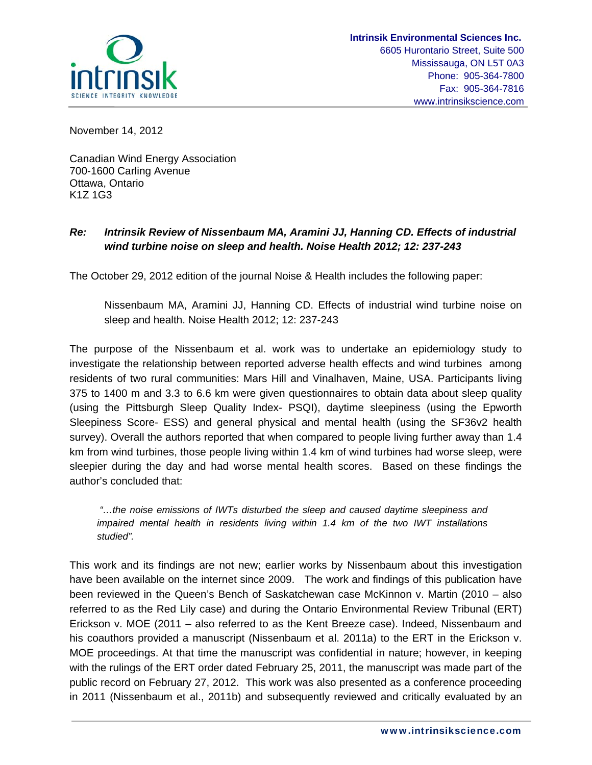

November 14, 2012

Canadian Wind Energy Association 700-1600 Carling Avenue Ottawa, Ontario K1Z 1G3

# *Re: Intrinsik Review of Nissenbaum MA, Aramini JJ, Hanning CD. Effects of industrial wind turbine noise on sleep and health. Noise Health 2012; 12: 237-243*

The October 29, 2012 edition of the journal Noise & Health includes the following paper:

Nissenbaum MA, Aramini JJ, Hanning CD. Effects of industrial wind turbine noise on sleep and health. Noise Health 2012; 12: 237-243

The purpose of the Nissenbaum et al. work was to undertake an epidemiology study to investigate the relationship between reported adverse health effects and wind turbines among residents of two rural communities: Mars Hill and Vinalhaven, Maine, USA. Participants living 375 to 1400 m and 3.3 to 6.6 km were given questionnaires to obtain data about sleep quality (using the Pittsburgh Sleep Quality Index- PSQI), daytime sleepiness (using the Epworth Sleepiness Score- ESS) and general physical and mental health (using the SF36v2 health survey). Overall the authors reported that when compared to people living further away than 1.4 km from wind turbines, those people living within 1.4 km of wind turbines had worse sleep, were sleepier during the day and had worse mental health scores. Based on these findings the author's concluded that:

 *"…the noise emissions of IWTs disturbed the sleep and caused daytime sleepiness and impaired mental health in residents living within 1.4 km of the two IWT installations studied".* 

This work and its findings are not new; earlier works by Nissenbaum about this investigation have been available on the internet since 2009. The work and findings of this publication have been reviewed in the Queen's Bench of Saskatchewan case McKinnon v. Martin (2010 – also referred to as the Red Lily case) and during the Ontario Environmental Review Tribunal (ERT) Erickson v. MOE (2011 – also referred to as the Kent Breeze case). Indeed, Nissenbaum and his coauthors provided a manuscript (Nissenbaum et al. 2011a) to the ERT in the Erickson v. MOE proceedings. At that time the manuscript was confidential in nature; however, in keeping with the rulings of the ERT order dated February 25, 2011, the manuscript was made part of the public record on February 27, 2012. This work was also presented as a conference proceeding in 2011 (Nissenbaum et al., 2011b) and subsequently reviewed and critically evaluated by an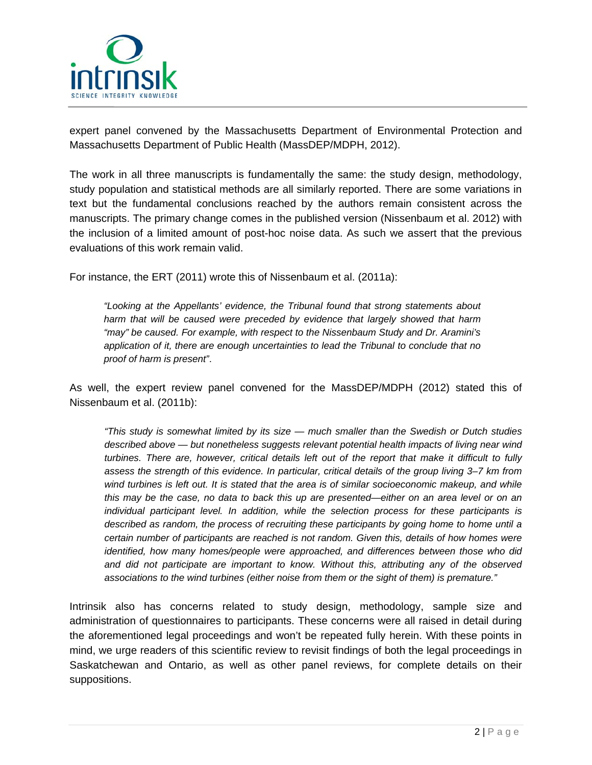

expert panel convened by the Massachusetts Department of Environmental Protection and Massachusetts Department of Public Health (MassDEP/MDPH, 2012).

The work in all three manuscripts is fundamentally the same: the study design, methodology, study population and statistical methods are all similarly reported. There are some variations in text but the fundamental conclusions reached by the authors remain consistent across the manuscripts. The primary change comes in the published version (Nissenbaum et al. 2012) with the inclusion of a limited amount of post-hoc noise data. As such we assert that the previous evaluations of this work remain valid.

For instance, the ERT (2011) wrote this of Nissenbaum et al. (2011a):

*"Looking at the Appellants' evidence, the Tribunal found that strong statements about harm that will be caused were preceded by evidence that largely showed that harm "may" be caused. For example, with respect to the Nissenbaum Study and Dr. Aramini's application of it, there are enough uncertainties to lead the Tribunal to conclude that no proof of harm is present"*.

As well, the expert review panel convened for the MassDEP/MDPH (2012) stated this of Nissenbaum et al. (2011b):

*"This study is somewhat limited by its size — much smaller than the Swedish or Dutch studies described above — but nonetheless suggests relevant potential health impacts of living near wind turbines. There are, however, critical details left out of the report that make it difficult to fully assess the strength of this evidence. In particular, critical details of the group living 3–7 km from wind turbines is left out. It is stated that the area is of similar socioeconomic makeup, and while this may be the case, no data to back this up are presented—either on an area level or on an individual participant level. In addition, while the selection process for these participants is described as random, the process of recruiting these participants by going home to home until a certain number of participants are reached is not random. Given this, details of how homes were identified, how many homes/people were approached, and differences between those who did and did not participate are important to know. Without this, attributing any of the observed associations to the wind turbines (either noise from them or the sight of them) is premature."*

Intrinsik also has concerns related to study design, methodology, sample size and administration of questionnaires to participants. These concerns were all raised in detail during the aforementioned legal proceedings and won't be repeated fully herein. With these points in mind, we urge readers of this scientific review to revisit findings of both the legal proceedings in Saskatchewan and Ontario, as well as other panel reviews, for complete details on their suppositions.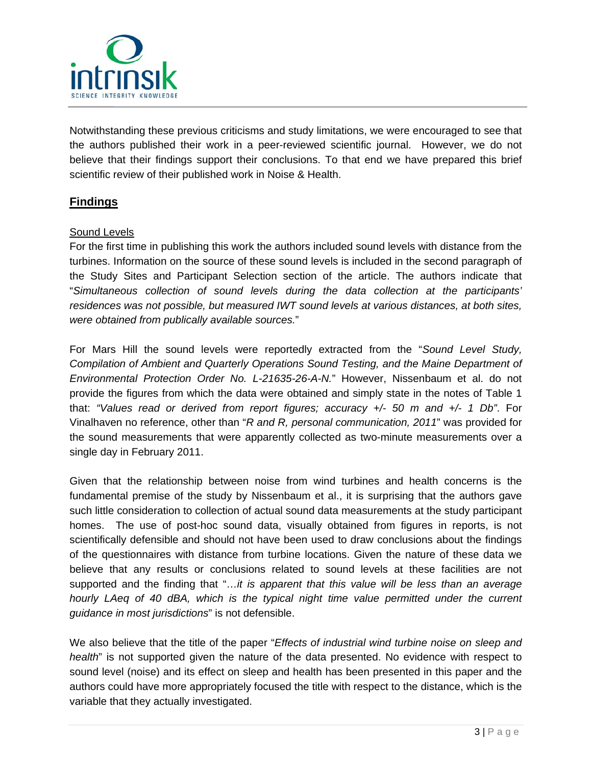

Notwithstanding these previous criticisms and study limitations, we were encouraged to see that the authors published their work in a peer-reviewed scientific journal. However, we do not believe that their findings support their conclusions. To that end we have prepared this brief scientific review of their published work in Noise & Health.

# **Findings**

#### Sound Levels

For the first time in publishing this work the authors included sound levels with distance from the turbines. Information on the source of these sound levels is included in the second paragraph of the Study Sites and Participant Selection section of the article. The authors indicate that "*Simultaneous collection of sound levels during the data collection at the participants' residences was not possible, but measured IWT sound levels at various distances, at both sites, were obtained from publically available sources.*"

For Mars Hill the sound levels were reportedly extracted from the "*Sound Level Study, Compilation of Ambient and Quarterly Operations Sound Testing, and the Maine Department of Environmental Protection Order No. L-21635-26-A-N.*" However, Nissenbaum et al. do not provide the figures from which the data were obtained and simply state in the notes of Table 1 that: *"Values read or derived from report figures; accuracy +/- 50 m and +/- 1 Db"*. For Vinalhaven no reference, other than "*R and R, personal communication, 2011*" was provided for the sound measurements that were apparently collected as two-minute measurements over a single day in February 2011.

Given that the relationship between noise from wind turbines and health concerns is the fundamental premise of the study by Nissenbaum et al., it is surprising that the authors gave such little consideration to collection of actual sound data measurements at the study participant homes. The use of post-hoc sound data, visually obtained from figures in reports, is not scientifically defensible and should not have been used to draw conclusions about the findings of the questionnaires with distance from turbine locations. Given the nature of these data we believe that any results or conclusions related to sound levels at these facilities are not supported and the finding that "…*it is apparent that this value will be less than an average hourly LAeq of 40 dBA, which is the typical night time value permitted under the current guidance in most jurisdictions*" is not defensible.

We also believe that the title of the paper "*Effects of industrial wind turbine noise on sleep and health*" is not supported given the nature of the data presented. No evidence with respect to sound level (noise) and its effect on sleep and health has been presented in this paper and the authors could have more appropriately focused the title with respect to the distance, which is the variable that they actually investigated.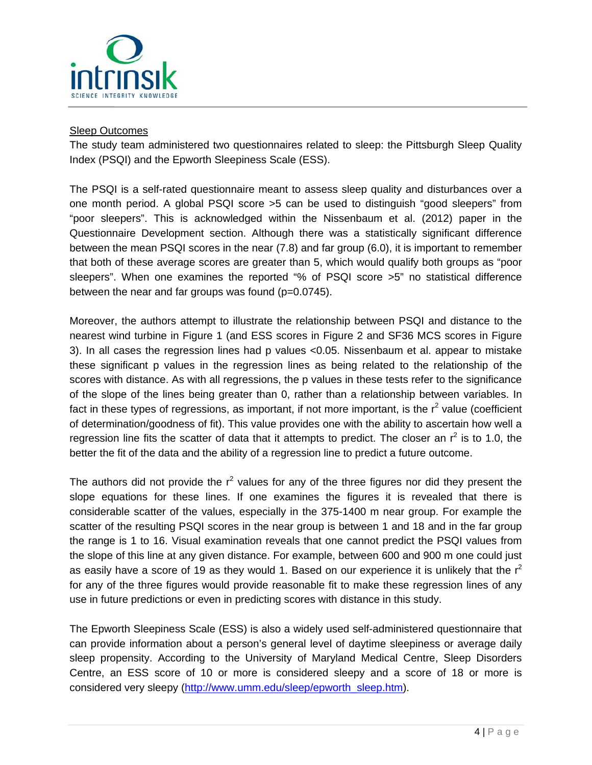

### Sleep Outcomes

The study team administered two questionnaires related to sleep: the Pittsburgh Sleep Quality Index (PSQI) and the Epworth Sleepiness Scale (ESS).

The PSQI is a self-rated questionnaire meant to assess sleep quality and disturbances over a one month period. A global PSQI score >5 can be used to distinguish "good sleepers" from "poor sleepers". This is acknowledged within the Nissenbaum et al. (2012) paper in the Questionnaire Development section. Although there was a statistically significant difference between the mean PSQI scores in the near (7.8) and far group (6.0), it is important to remember that both of these average scores are greater than 5, which would qualify both groups as "poor sleepers". When one examines the reported "% of PSQI score >5" no statistical difference between the near and far groups was found (p=0.0745).

Moreover, the authors attempt to illustrate the relationship between PSQI and distance to the nearest wind turbine in Figure 1 (and ESS scores in Figure 2 and SF36 MCS scores in Figure 3). In all cases the regression lines had p values <0.05. Nissenbaum et al. appear to mistake these significant p values in the regression lines as being related to the relationship of the scores with distance. As with all regressions, the p values in these tests refer to the significance of the slope of the lines being greater than 0, rather than a relationship between variables. In fact in these types of regressions, as important, if not more important, is the  $r^2$  value (coefficient of determination/goodness of fit). This value provides one with the ability to ascertain how well a regression line fits the scatter of data that it attempts to predict. The closer an  $r^2$  is to 1.0, the better the fit of the data and the ability of a regression line to predict a future outcome.

The authors did not provide the  $r^2$  values for any of the three figures nor did they present the slope equations for these lines. If one examines the figures it is revealed that there is considerable scatter of the values, especially in the 375-1400 m near group. For example the scatter of the resulting PSQI scores in the near group is between 1 and 18 and in the far group the range is 1 to 16. Visual examination reveals that one cannot predict the PSQI values from the slope of this line at any given distance. For example, between 600 and 900 m one could just as easily have a score of 19 as they would 1. Based on our experience it is unlikely that the  $r^2$ for any of the three figures would provide reasonable fit to make these regression lines of any use in future predictions or even in predicting scores with distance in this study.

The Epworth Sleepiness Scale (ESS) is also a widely used self-administered questionnaire that can provide information about a person's general level of daytime sleepiness or average daily sleep propensity. According to the University of Maryland Medical Centre, Sleep Disorders Centre, an ESS score of 10 or more is considered sleepy and a score of 18 or more is considered very sleepy (http://www.umm.edu/sleep/epworth\_sleep.htm).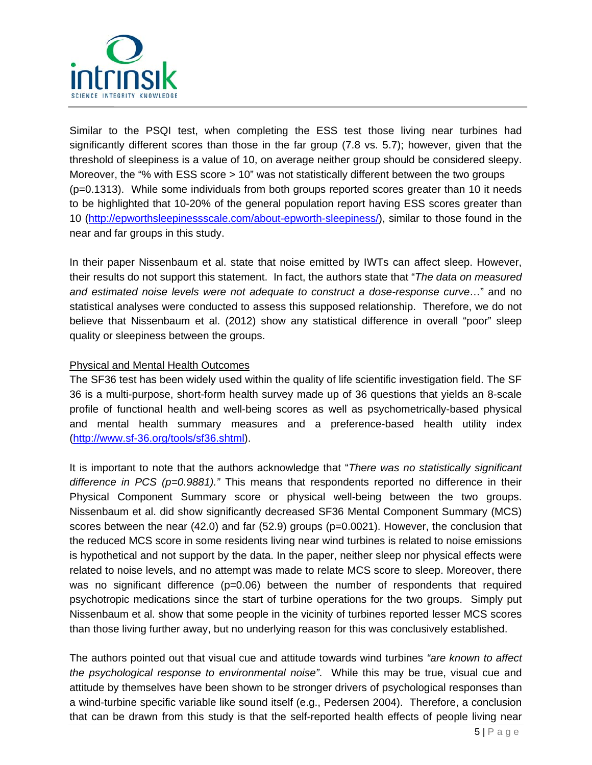

Similar to the PSQI test, when completing the ESS test those living near turbines had significantly different scores than those in the far group (7.8 vs. 5.7); however, given that the threshold of sleepiness is a value of 10, on average neither group should be considered sleepy. Moreover, the "% with ESS score > 10" was not statistically different between the two groups (p=0.1313). While some individuals from both groups reported scores greater than 10 it needs to be highlighted that 10-20% of the general population report having ESS scores greater than 10 (http://epworthsleepinessscale.com/about-epworth-sleepiness/), similar to those found in the near and far groups in this study.

In their paper Nissenbaum et al. state that noise emitted by IWTs can affect sleep. However, their results do not support this statement. In fact, the authors state that "*The data on measured and estimated noise levels were not adequate to construct a dose-response curve*…" and no statistical analyses were conducted to assess this supposed relationship. Therefore, we do not believe that Nissenbaum et al. (2012) show any statistical difference in overall "poor" sleep quality or sleepiness between the groups.

#### Physical and Mental Health Outcomes

The SF36 test has been widely used within the quality of life scientific investigation field. The SF 36 is a multi-purpose, short-form health survey made up of 36 questions that yields an 8-scale profile of functional health and well-being scores as well as psychometrically-based physical and mental health summary measures and a preference-based health utility index (http://www.sf-36.org/tools/sf36.shtml).

It is important to note that the authors acknowledge that "*There was no statistically significant difference in PCS (p=0.9881)."* This means that respondents reported no difference in their Physical Component Summary score or physical well-being between the two groups. Nissenbaum et al. did show significantly decreased SF36 Mental Component Summary (MCS) scores between the near (42.0) and far (52.9) groups (p=0.0021). However, the conclusion that the reduced MCS score in some residents living near wind turbines is related to noise emissions is hypothetical and not support by the data. In the paper, neither sleep nor physical effects were related to noise levels, and no attempt was made to relate MCS score to sleep. Moreover, there was no significant difference (p=0.06) between the number of respondents that required psychotropic medications since the start of turbine operations for the two groups. Simply put Nissenbaum et al. show that some people in the vicinity of turbines reported lesser MCS scores than those living further away, but no underlying reason for this was conclusively established.

The authors pointed out that visual cue and attitude towards wind turbines *"are known to affect the psychological response to environmental noise"*. While this may be true, visual cue and attitude by themselves have been shown to be stronger drivers of psychological responses than a wind-turbine specific variable like sound itself (e.g., Pedersen 2004). Therefore, a conclusion that can be drawn from this study is that the self-reported health effects of people living near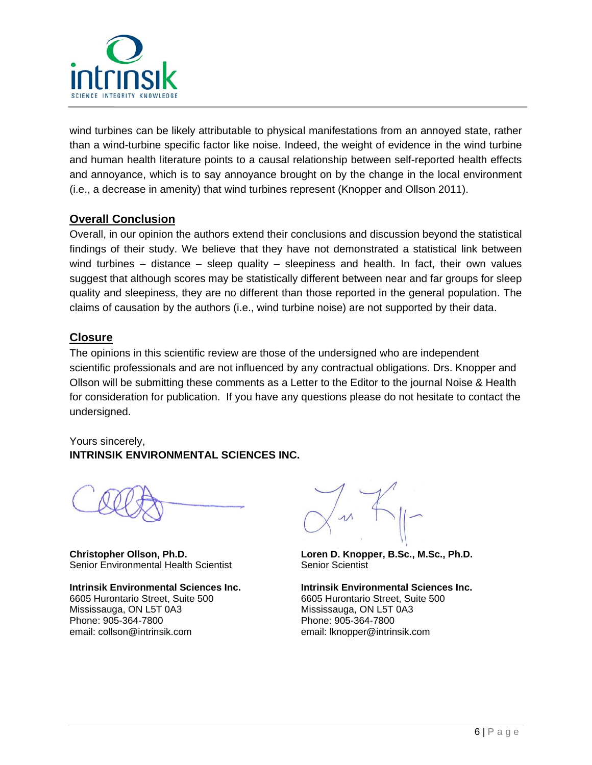

wind turbines can be likely attributable to physical manifestations from an annoyed state, rather than a wind-turbine specific factor like noise. Indeed, the weight of evidence in the wind turbine and human health literature points to a causal relationship between self-reported health effects and annoyance, which is to say annoyance brought on by the change in the local environment (i.e., a decrease in amenity) that wind turbines represent (Knopper and Ollson 2011).

# **Overall Conclusion**

Overall, in our opinion the authors extend their conclusions and discussion beyond the statistical findings of their study. We believe that they have not demonstrated a statistical link between wind turbines – distance – sleep quality – sleepiness and health. In fact, their own values suggest that although scores may be statistically different between near and far groups for sleep quality and sleepiness, they are no different than those reported in the general population. The claims of causation by the authors (i.e., wind turbine noise) are not supported by their data.

### **Closure**

The opinions in this scientific review are those of the undersigned who are independent scientific professionals and are not influenced by any contractual obligations. Drs. Knopper and Ollson will be submitting these comments as a Letter to the Editor to the journal Noise & Health for consideration for publication. If you have any questions please do not hesitate to contact the undersigned.

Yours sincerely, **INTRINSIK ENVIRONMENTAL SCIENCES INC.** 

**Christopher Ollson, Ph.D.**  Senior Environmental Health Scientist

**Intrinsik Environmental Sciences Inc.** 6605 Hurontario Street, Suite 500 Mississauga, ON L5T 0A3 Phone: 905-364-7800 email: collson@intrinsik.com

**Loren D. Knopper, B.Sc., M.Sc., Ph.D.**  Senior Scientist

**Intrinsik Environmental Sciences Inc.** 6605 Hurontario Street, Suite 500 Mississauga, ON L5T 0A3 Phone: 905-364-7800 email: lknopper@intrinsik.com